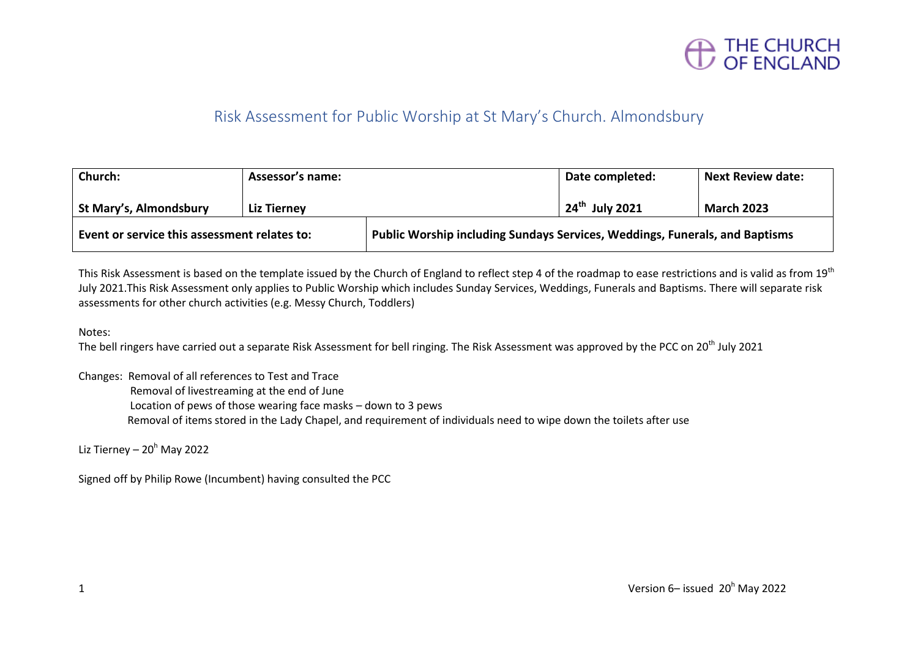

#### Risk Assessment for Public Worship at St Mary's Church. Almondsbury

| Church:                                      | <b>Assessor's name:</b> |                                                                             | Date completed:            | <b>Next Review date:</b> |
|----------------------------------------------|-------------------------|-----------------------------------------------------------------------------|----------------------------|--------------------------|
| <b>St Mary's, Almondsbury</b>                | <b>Liz Tierney</b>      |                                                                             | $24^{\text{th}}$ July 2021 | <b>March 2023</b>        |
| Event or service this assessment relates to: |                         | Public Worship including Sundays Services, Weddings, Funerals, and Baptisms |                            |                          |

This Risk Assessment is based on the template issued by the Church of England to reflect step 4 of the roadmap to ease restrictions and is valid as from 19<sup>th</sup> July 2021.This Risk Assessment only applies to Public Worship which includes Sunday Services, Weddings, Funerals and Baptisms. There will separate risk assessments for other church activities (e.g. Messy Church, Toddlers)

Notes:

The bell ringers have carried out a separate Risk Assessment for bell ringing. The Risk Assessment was approved by the PCC on 20<sup>th</sup> July 2021

Changes: Removal of all references to Test and Trace

Removal of livestreaming at the end of June

Location of pews of those wearing face masks – down to 3 pews

Removal of items stored in the Lady Chapel, and requirement of individuals need to wipe down the toilets after use

Liz Tierney –  $20<sup>h</sup>$  May 2022

Signed off by Philip Rowe (Incumbent) having consulted the PCC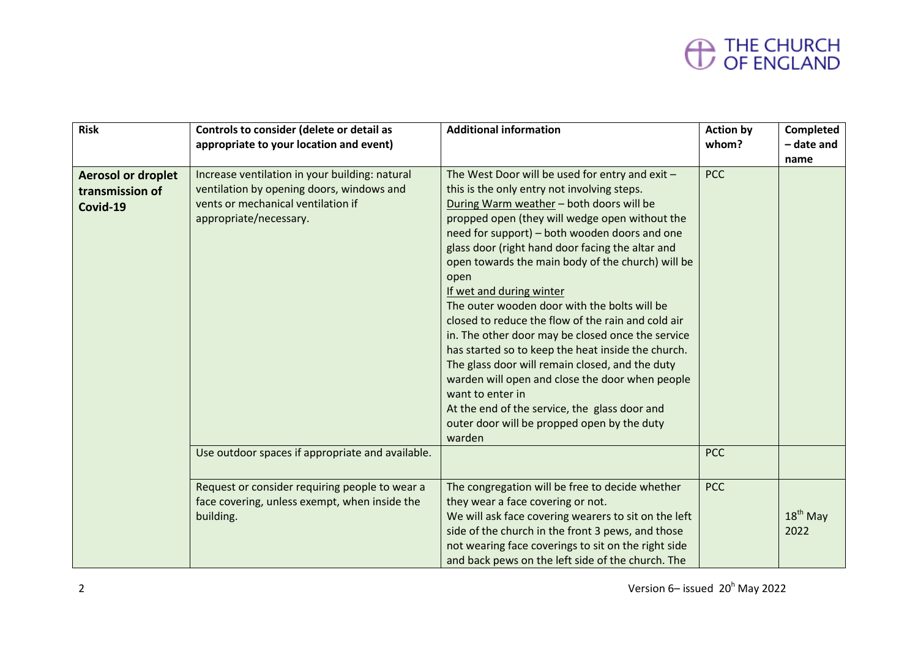| <b>Risk</b>                                              | Controls to consider (delete or detail as<br>appropriate to your location and event)                                                                        | <b>Additional information</b>                                                                                                                                                                                                                                                                                                                                                                                                                                                                                                                                                                                                                                                                                                                                                                                                                   | <b>Action by</b><br>whom? | Completed<br>- date and<br>name |
|----------------------------------------------------------|-------------------------------------------------------------------------------------------------------------------------------------------------------------|-------------------------------------------------------------------------------------------------------------------------------------------------------------------------------------------------------------------------------------------------------------------------------------------------------------------------------------------------------------------------------------------------------------------------------------------------------------------------------------------------------------------------------------------------------------------------------------------------------------------------------------------------------------------------------------------------------------------------------------------------------------------------------------------------------------------------------------------------|---------------------------|---------------------------------|
| <b>Aerosol or droplet</b><br>transmission of<br>Covid-19 | Increase ventilation in your building: natural<br>ventilation by opening doors, windows and<br>vents or mechanical ventilation if<br>appropriate/necessary. | The West Door will be used for entry and exit -<br>this is the only entry not involving steps.<br>During Warm weather - both doors will be<br>propped open (they will wedge open without the<br>need for support) - both wooden doors and one<br>glass door (right hand door facing the altar and<br>open towards the main body of the church) will be<br>open<br>If wet and during winter<br>The outer wooden door with the bolts will be<br>closed to reduce the flow of the rain and cold air<br>in. The other door may be closed once the service<br>has started so to keep the heat inside the church.<br>The glass door will remain closed, and the duty<br>warden will open and close the door when people<br>want to enter in<br>At the end of the service, the glass door and<br>outer door will be propped open by the duty<br>warden | <b>PCC</b>                |                                 |
|                                                          | Use outdoor spaces if appropriate and available.                                                                                                            |                                                                                                                                                                                                                                                                                                                                                                                                                                                                                                                                                                                                                                                                                                                                                                                                                                                 | <b>PCC</b>                |                                 |
|                                                          | Request or consider requiring people to wear a<br>face covering, unless exempt, when inside the<br>building.                                                | The congregation will be free to decide whether<br>they wear a face covering or not.<br>We will ask face covering wearers to sit on the left<br>side of the church in the front 3 pews, and those<br>not wearing face coverings to sit on the right side<br>and back pews on the left side of the church. The                                                                                                                                                                                                                                                                                                                                                                                                                                                                                                                                   | <b>PCC</b>                | $18th$ May<br>2022              |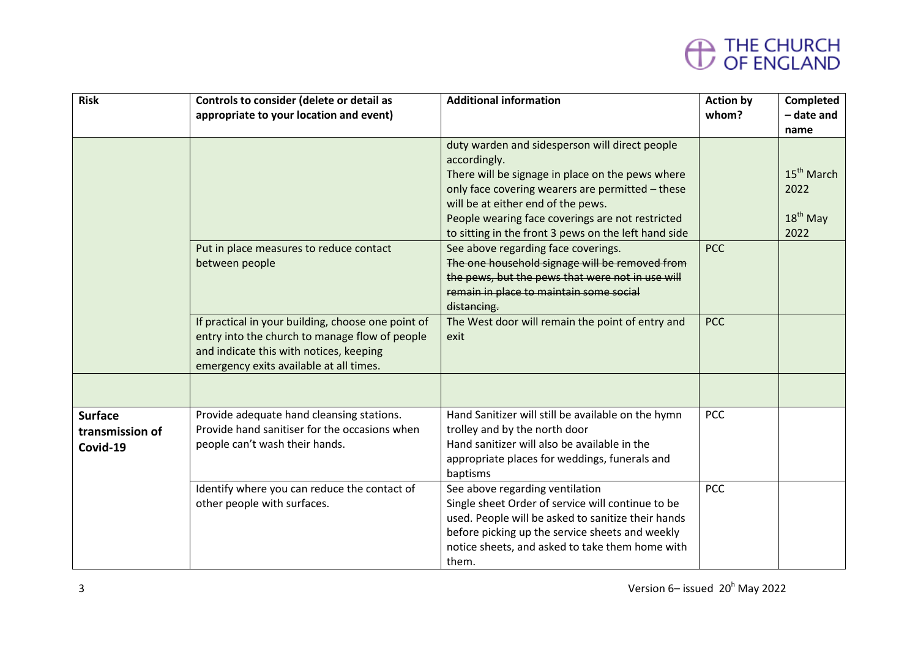| <b>Risk</b>                                   | Controls to consider (delete or detail as<br>appropriate to your location and event)                                                                                                       | <b>Additional information</b>                                                                                                                                                                                                                                                                                            | <b>Action by</b><br>whom? | <b>Completed</b><br>- date and<br>name               |
|-----------------------------------------------|--------------------------------------------------------------------------------------------------------------------------------------------------------------------------------------------|--------------------------------------------------------------------------------------------------------------------------------------------------------------------------------------------------------------------------------------------------------------------------------------------------------------------------|---------------------------|------------------------------------------------------|
|                                               |                                                                                                                                                                                            | duty warden and sidesperson will direct people<br>accordingly.<br>There will be signage in place on the pews where<br>only face covering wearers are permitted - these<br>will be at either end of the pews.<br>People wearing face coverings are not restricted<br>to sitting in the front 3 pews on the left hand side |                           | 15 <sup>th</sup> March<br>2022<br>$18th$ May<br>2022 |
|                                               | Put in place measures to reduce contact<br>between people                                                                                                                                  | See above regarding face coverings.<br>The one household signage will be removed from<br>the pews, but the pews that were not in use will<br>remain in place to maintain some social<br>distancing.                                                                                                                      | <b>PCC</b>                |                                                      |
|                                               | If practical in your building, choose one point of<br>entry into the church to manage flow of people<br>and indicate this with notices, keeping<br>emergency exits available at all times. | The West door will remain the point of entry and<br>exit                                                                                                                                                                                                                                                                 | <b>PCC</b>                |                                                      |
|                                               |                                                                                                                                                                                            |                                                                                                                                                                                                                                                                                                                          |                           |                                                      |
| <b>Surface</b><br>transmission of<br>Covid-19 | Provide adequate hand cleansing stations.<br>Provide hand sanitiser for the occasions when<br>people can't wash their hands.                                                               | Hand Sanitizer will still be available on the hymn<br>trolley and by the north door<br>Hand sanitizer will also be available in the<br>appropriate places for weddings, funerals and<br>baptisms                                                                                                                         | <b>PCC</b>                |                                                      |
|                                               | Identify where you can reduce the contact of<br>other people with surfaces.                                                                                                                | See above regarding ventilation<br>Single sheet Order of service will continue to be<br>used. People will be asked to sanitize their hands<br>before picking up the service sheets and weekly<br>notice sheets, and asked to take them home with<br>them.                                                                | <b>PCC</b>                |                                                      |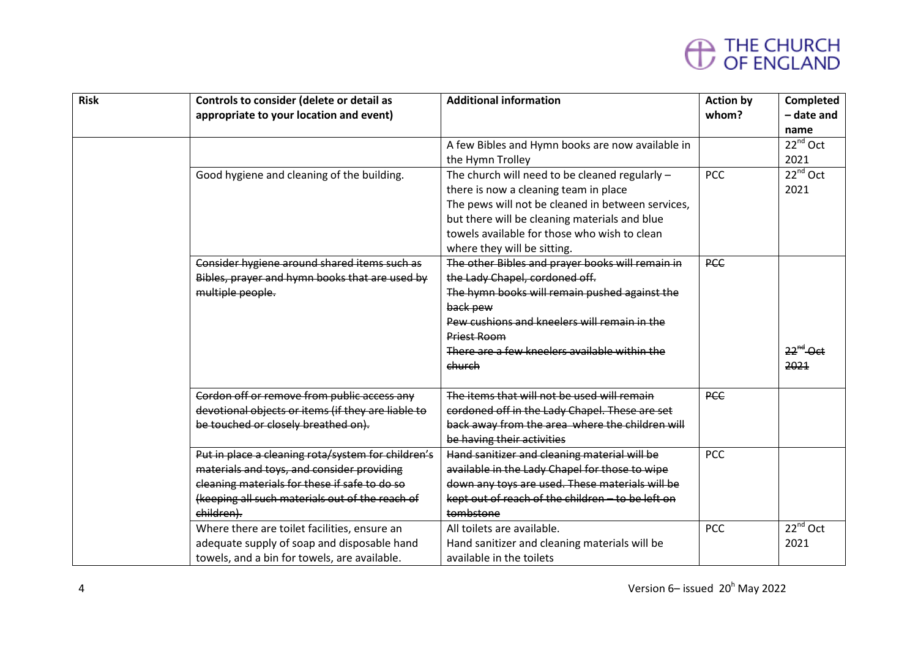| <b>Risk</b> | Controls to consider (delete or detail as<br>appropriate to your location and event)                                                                                                                               | <b>Additional information</b>                                                                                                                                                                                                                                                    | <b>Action by</b><br>whom? | Completed<br>- date and<br>name |
|-------------|--------------------------------------------------------------------------------------------------------------------------------------------------------------------------------------------------------------------|----------------------------------------------------------------------------------------------------------------------------------------------------------------------------------------------------------------------------------------------------------------------------------|---------------------------|---------------------------------|
|             |                                                                                                                                                                                                                    | A few Bibles and Hymn books are now available in<br>the Hymn Trolley                                                                                                                                                                                                             |                           | $22^{nd}$ Oct<br>2021           |
|             | Good hygiene and cleaning of the building.                                                                                                                                                                         | The church will need to be cleaned regularly -<br>there is now a cleaning team in place<br>The pews will not be cleaned in between services,<br>but there will be cleaning materials and blue<br>towels available for those who wish to clean<br>where they will be sitting.     | <b>PCC</b>                | $22^{nd}$ Oct<br>2021           |
|             | Consider hygiene around shared items such as<br>Bibles, prayer and hymn books that are used by<br>multiple people.                                                                                                 | The other Bibles and prayer books will remain in<br>the Lady Chapel, cordoned off.<br>The hymn books will remain pushed against the<br>back pew<br>Pew cushions and kneelers will remain in the<br><b>Priest Room</b><br>There are a few kneelers available within the<br>church | <b>PCC</b>                | $22^{nd}$ Oct<br>2021           |
|             | Cordon off or remove from public access any<br>devotional objects or items (if they are liable to<br>be touched or closely breathed on).                                                                           | The items that will not be used will remain<br>cordoned off in the Lady Chapel. These are set<br>back away from the area where the children will<br>be having their activities                                                                                                   | <b>PCC</b>                |                                 |
|             | Put in place a cleaning rota/system for children's<br>materials and toys, and consider providing<br>cleaning materials for these if safe to do so<br>(keeping all such materials out of the reach of<br>children). | Hand sanitizer and cleaning material will be<br>available in the Lady Chapel for those to wipe<br>down any toys are used. These materials will be<br>kept out of reach of the children - to be left on<br>tombstone                                                              | <b>PCC</b>                |                                 |
|             | Where there are toilet facilities, ensure an<br>adequate supply of soap and disposable hand<br>towels, and a bin for towels, are available.                                                                        | All toilets are available.<br>Hand sanitizer and cleaning materials will be<br>available in the toilets                                                                                                                                                                          | <b>PCC</b>                | $22^{nd}$ Oct<br>2021           |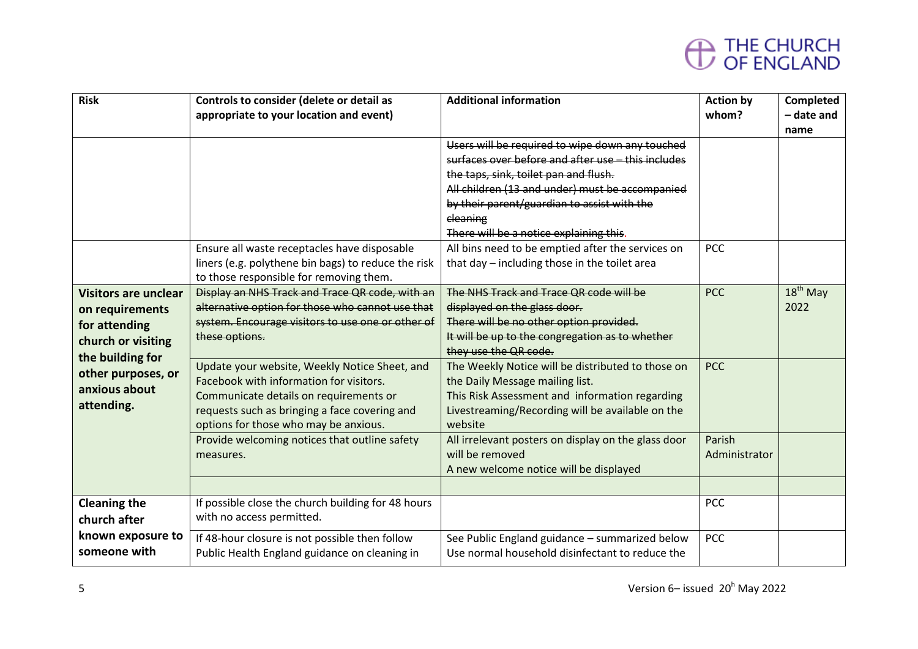| <b>Risk</b>                                                                           | Controls to consider (delete or detail as<br>appropriate to your location and event)                                                                                                                                         | <b>Additional information</b><br>Users will be required to wipe down any touched<br>surfaces over before and after use - this includes                                                                | <b>Action by</b><br>whom? | Completed<br>- date and<br>name |
|---------------------------------------------------------------------------------------|------------------------------------------------------------------------------------------------------------------------------------------------------------------------------------------------------------------------------|-------------------------------------------------------------------------------------------------------------------------------------------------------------------------------------------------------|---------------------------|---------------------------------|
|                                                                                       |                                                                                                                                                                                                                              | the taps, sink, toilet pan and flush.<br>All children (13 and under) must be accompanied<br>by their parent/guardian to assist with the<br>cleaning<br>There will be a notice explaining this.        |                           |                                 |
|                                                                                       | Ensure all waste receptacles have disposable<br>liners (e.g. polythene bin bags) to reduce the risk<br>to those responsible for removing them.                                                                               | All bins need to be emptied after the services on<br>that day - including those in the toilet area                                                                                                    | <b>PCC</b>                |                                 |
| <b>Visitors are unclear</b><br>on requirements<br>for attending<br>church or visiting | Display an NHS Track and Trace QR code, with an<br>alternative option for those who cannot use that<br>system. Encourage visitors to use one or other of<br>these options.                                                   | The NHS Track and Trace QR code will be<br>displayed on the glass door.<br>There will be no other option provided.<br>It will be up to the congregation as to whether<br>they use the QR code.        | <b>PCC</b>                | $18th$ May<br>2022              |
| the building for<br>other purposes, or<br>anxious about<br>attending.                 | Update your website, Weekly Notice Sheet, and<br>Facebook with information for visitors.<br>Communicate details on requirements or<br>requests such as bringing a face covering and<br>options for those who may be anxious. | The Weekly Notice will be distributed to those on<br>the Daily Message mailing list.<br>This Risk Assessment and information regarding<br>Livestreaming/Recording will be available on the<br>website | <b>PCC</b>                |                                 |
|                                                                                       | Provide welcoming notices that outline safety<br>measures.                                                                                                                                                                   | All irrelevant posters on display on the glass door<br>will be removed<br>A new welcome notice will be displayed                                                                                      | Parish<br>Administrator   |                                 |
| <b>Cleaning the</b>                                                                   | If possible close the church building for 48 hours                                                                                                                                                                           |                                                                                                                                                                                                       | <b>PCC</b>                |                                 |
| church after<br>known exposure to<br>someone with                                     | with no access permitted.<br>If 48-hour closure is not possible then follow<br>Public Health England guidance on cleaning in                                                                                                 | See Public England guidance - summarized below<br>Use normal household disinfectant to reduce the                                                                                                     | <b>PCC</b>                |                                 |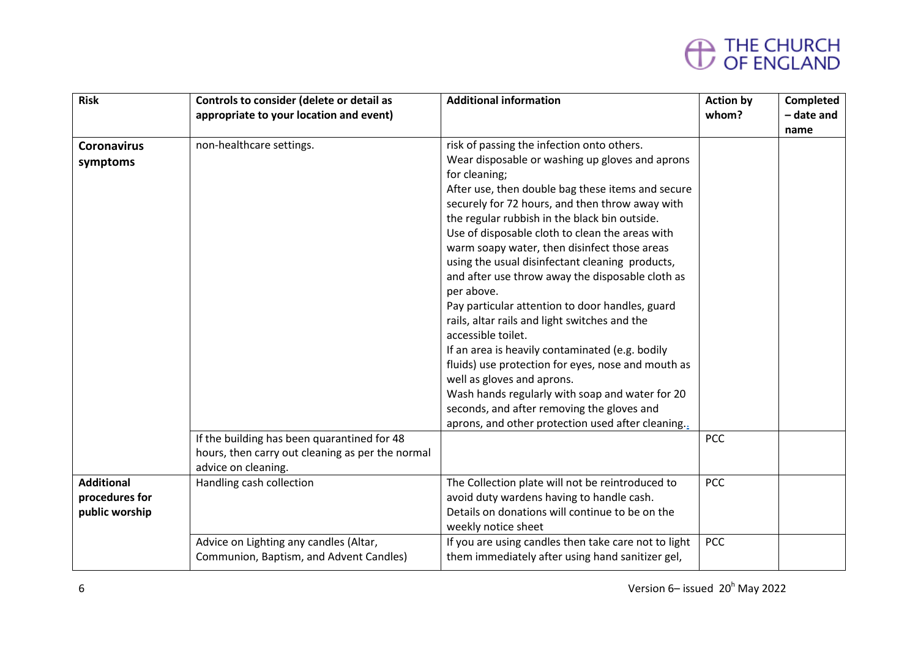| <b>Risk</b>        | Controls to consider (delete or detail as        | <b>Additional information</b>                                                                    | <b>Action by</b> | Completed  |
|--------------------|--------------------------------------------------|--------------------------------------------------------------------------------------------------|------------------|------------|
|                    | appropriate to your location and event)          |                                                                                                  | whom?            | - date and |
|                    |                                                  |                                                                                                  |                  | name       |
| <b>Coronavirus</b> | non-healthcare settings.                         | risk of passing the infection onto others.                                                       |                  |            |
| symptoms           |                                                  | Wear disposable or washing up gloves and aprons                                                  |                  |            |
|                    |                                                  | for cleaning;                                                                                    |                  |            |
|                    |                                                  | After use, then double bag these items and secure                                                |                  |            |
|                    |                                                  | securely for 72 hours, and then throw away with                                                  |                  |            |
|                    |                                                  | the regular rubbish in the black bin outside.<br>Use of disposable cloth to clean the areas with |                  |            |
|                    |                                                  | warm soapy water, then disinfect those areas                                                     |                  |            |
|                    |                                                  | using the usual disinfectant cleaning products,                                                  |                  |            |
|                    |                                                  | and after use throw away the disposable cloth as                                                 |                  |            |
|                    |                                                  | per above.                                                                                       |                  |            |
|                    |                                                  | Pay particular attention to door handles, guard                                                  |                  |            |
|                    |                                                  | rails, altar rails and light switches and the                                                    |                  |            |
|                    |                                                  | accessible toilet.                                                                               |                  |            |
|                    |                                                  | If an area is heavily contaminated (e.g. bodily                                                  |                  |            |
|                    |                                                  | fluids) use protection for eyes, nose and mouth as                                               |                  |            |
|                    |                                                  | well as gloves and aprons.                                                                       |                  |            |
|                    |                                                  | Wash hands regularly with soap and water for 20                                                  |                  |            |
|                    |                                                  | seconds, and after removing the gloves and                                                       |                  |            |
|                    |                                                  | aprons, and other protection used after cleaning.                                                |                  |            |
|                    | If the building has been quarantined for 48      |                                                                                                  | <b>PCC</b>       |            |
|                    | hours, then carry out cleaning as per the normal |                                                                                                  |                  |            |
|                    | advice on cleaning.                              |                                                                                                  |                  |            |
| <b>Additional</b>  | Handling cash collection                         | The Collection plate will not be reintroduced to                                                 | <b>PCC</b>       |            |
| procedures for     |                                                  | avoid duty wardens having to handle cash.                                                        |                  |            |
| public worship     |                                                  | Details on donations will continue to be on the                                                  |                  |            |
|                    |                                                  | weekly notice sheet                                                                              | <b>PCC</b>       |            |
|                    | Advice on Lighting any candles (Altar,           | If you are using candles then take care not to light                                             |                  |            |
|                    | Communion, Baptism, and Advent Candles)          | them immediately after using hand sanitizer gel,                                                 |                  |            |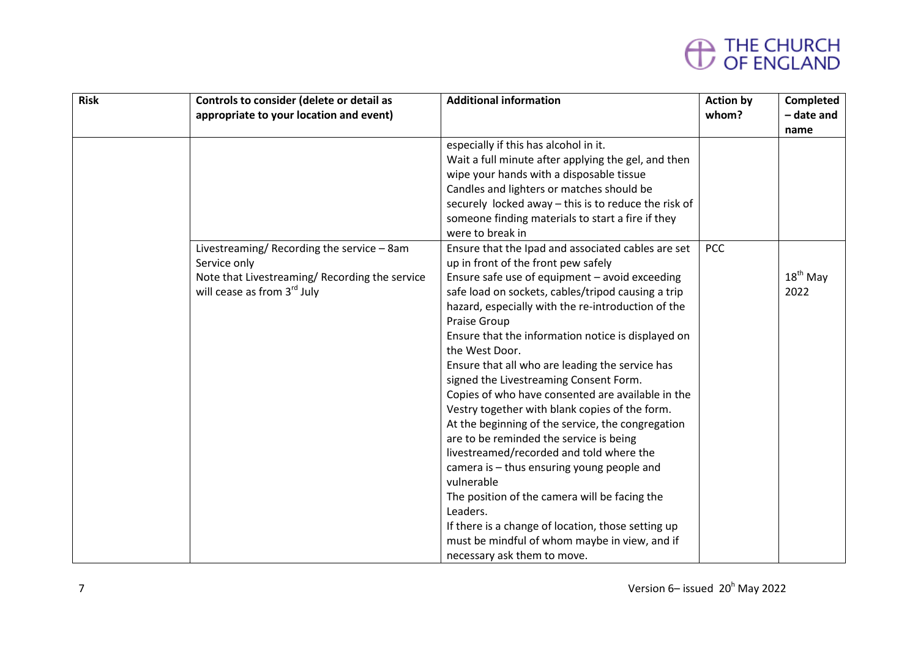| <b>Risk</b> | Controls to consider (delete or detail as<br>appropriate to your location and event)                                                      | <b>Additional information</b>                                                                                                                                                                                                                                                                                                                                                                                                                                                                                                                                                                                                                                                                                                                                                                                                                                                                                                                                  | <b>Action by</b><br>whom? | Completed<br>- date and<br>name |
|-------------|-------------------------------------------------------------------------------------------------------------------------------------------|----------------------------------------------------------------------------------------------------------------------------------------------------------------------------------------------------------------------------------------------------------------------------------------------------------------------------------------------------------------------------------------------------------------------------------------------------------------------------------------------------------------------------------------------------------------------------------------------------------------------------------------------------------------------------------------------------------------------------------------------------------------------------------------------------------------------------------------------------------------------------------------------------------------------------------------------------------------|---------------------------|---------------------------------|
|             |                                                                                                                                           | especially if this has alcohol in it.<br>Wait a full minute after applying the gel, and then<br>wipe your hands with a disposable tissue<br>Candles and lighters or matches should be<br>securely locked away - this is to reduce the risk of<br>someone finding materials to start a fire if they<br>were to break in                                                                                                                                                                                                                                                                                                                                                                                                                                                                                                                                                                                                                                         |                           |                                 |
|             | Livestreaming/Recording the service - 8am<br>Service only<br>Note that Livestreaming/Recording the service<br>will cease as from 3rd July | Ensure that the Ipad and associated cables are set<br>up in front of the front pew safely<br>Ensure safe use of equipment - avoid exceeding<br>safe load on sockets, cables/tripod causing a trip<br>hazard, especially with the re-introduction of the<br>Praise Group<br>Ensure that the information notice is displayed on<br>the West Door.<br>Ensure that all who are leading the service has<br>signed the Livestreaming Consent Form.<br>Copies of who have consented are available in the<br>Vestry together with blank copies of the form.<br>At the beginning of the service, the congregation<br>are to be reminded the service is being<br>livestreamed/recorded and told where the<br>camera is - thus ensuring young people and<br>vulnerable<br>The position of the camera will be facing the<br>Leaders.<br>If there is a change of location, those setting up<br>must be mindful of whom maybe in view, and if<br>necessary ask them to move. | <b>PCC</b>                | $18th$ May<br>2022              |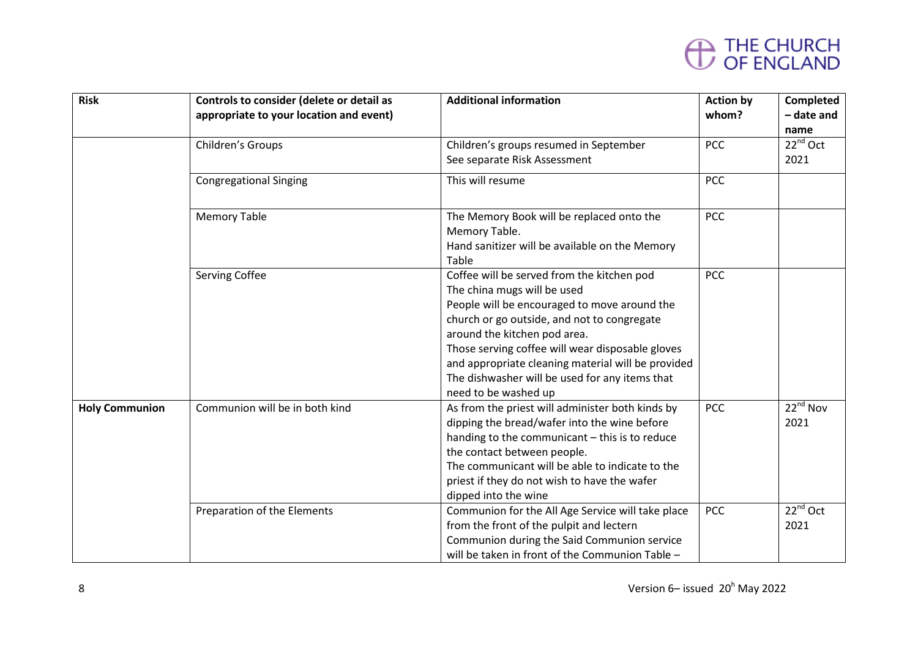| <b>Risk</b>           | Controls to consider (delete or detail as<br>appropriate to your location and event) | <b>Additional information</b>                                                                                                                                                                                                                                                                                                                                                                | <b>Action by</b><br>whom? | Completed<br>- date and       |
|-----------------------|--------------------------------------------------------------------------------------|----------------------------------------------------------------------------------------------------------------------------------------------------------------------------------------------------------------------------------------------------------------------------------------------------------------------------------------------------------------------------------------------|---------------------------|-------------------------------|
|                       | Children's Groups                                                                    | Children's groups resumed in September<br>See separate Risk Assessment                                                                                                                                                                                                                                                                                                                       | <b>PCC</b>                | name<br>$22^{nd}$ Oct<br>2021 |
|                       | <b>Congregational Singing</b>                                                        | This will resume                                                                                                                                                                                                                                                                                                                                                                             | <b>PCC</b>                |                               |
|                       | <b>Memory Table</b>                                                                  | The Memory Book will be replaced onto the<br>Memory Table.<br>Hand sanitizer will be available on the Memory<br>Table                                                                                                                                                                                                                                                                        | <b>PCC</b>                |                               |
|                       | <b>Serving Coffee</b>                                                                | Coffee will be served from the kitchen pod<br>The china mugs will be used<br>People will be encouraged to move around the<br>church or go outside, and not to congregate<br>around the kitchen pod area.<br>Those serving coffee will wear disposable gloves<br>and appropriate cleaning material will be provided<br>The dishwasher will be used for any items that<br>need to be washed up | <b>PCC</b>                |                               |
| <b>Holy Communion</b> | Communion will be in both kind                                                       | As from the priest will administer both kinds by<br>dipping the bread/wafer into the wine before<br>handing to the communicant - this is to reduce<br>the contact between people.<br>The communicant will be able to indicate to the<br>priest if they do not wish to have the wafer<br>dipped into the wine                                                                                 | PCC                       | $22^{nd}$ Nov<br>2021         |
|                       | Preparation of the Elements                                                          | Communion for the All Age Service will take place<br>from the front of the pulpit and lectern<br>Communion during the Said Communion service<br>will be taken in front of the Communion Table -                                                                                                                                                                                              | <b>PCC</b>                | $22^{nd}$ Oct<br>2021         |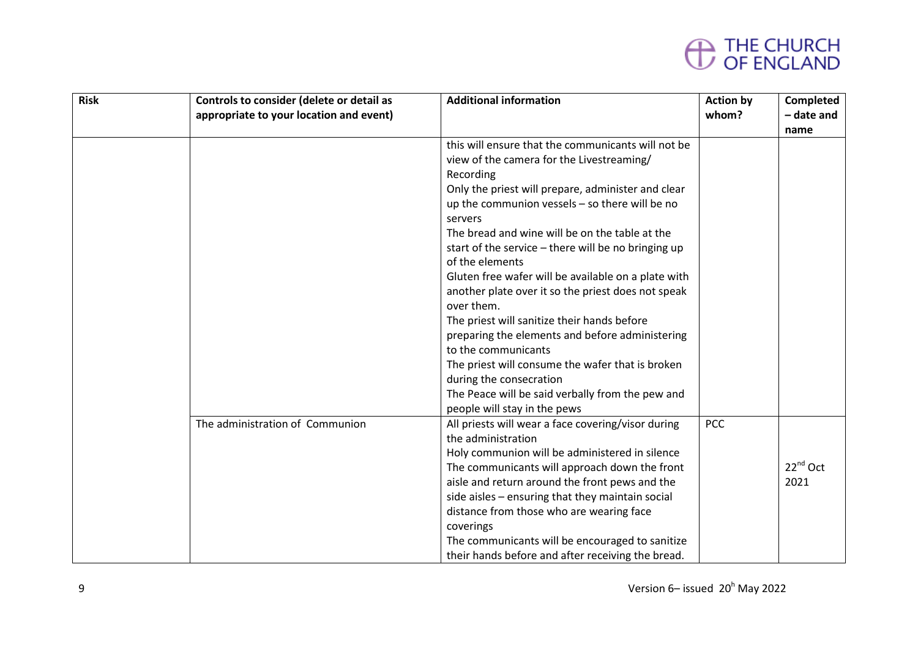| <b>Risk</b> | Controls to consider (delete or detail as | <b>Additional information</b>                       | <b>Action by</b> | Completed            |
|-------------|-------------------------------------------|-----------------------------------------------------|------------------|----------------------|
|             | appropriate to your location and event)   |                                                     | whom?            | - date and           |
|             |                                           |                                                     |                  | name                 |
|             |                                           | this will ensure that the communicants will not be  |                  |                      |
|             |                                           | view of the camera for the Livestreaming/           |                  |                      |
|             |                                           | Recording                                           |                  |                      |
|             |                                           | Only the priest will prepare, administer and clear  |                  |                      |
|             |                                           | up the communion vessels - so there will be no      |                  |                      |
|             |                                           | servers                                             |                  |                      |
|             |                                           | The bread and wine will be on the table at the      |                  |                      |
|             |                                           | start of the service - there will be no bringing up |                  |                      |
|             |                                           | of the elements                                     |                  |                      |
|             |                                           | Gluten free wafer will be available on a plate with |                  |                      |
|             |                                           | another plate over it so the priest does not speak  |                  |                      |
|             |                                           | over them.                                          |                  |                      |
|             |                                           | The priest will sanitize their hands before         |                  |                      |
|             |                                           | preparing the elements and before administering     |                  |                      |
|             |                                           | to the communicants                                 |                  |                      |
|             |                                           | The priest will consume the wafer that is broken    |                  |                      |
|             |                                           | during the consecration                             |                  |                      |
|             |                                           | The Peace will be said verbally from the pew and    |                  |                      |
|             |                                           | people will stay in the pews                        |                  |                      |
|             | The administration of Communion           | All priests will wear a face covering/visor during  | PCC              |                      |
|             |                                           | the administration                                  |                  |                      |
|             |                                           | Holy communion will be administered in silence      |                  |                      |
|             |                                           | The communicants will approach down the front       |                  | 22 <sup>nd</sup> Oct |
|             |                                           | aisle and return around the front pews and the      |                  | 2021                 |
|             |                                           | side aisles - ensuring that they maintain social    |                  |                      |
|             |                                           | distance from those who are wearing face            |                  |                      |
|             |                                           | coverings                                           |                  |                      |
|             |                                           | The communicants will be encouraged to sanitize     |                  |                      |
|             |                                           | their hands before and after receiving the bread.   |                  |                      |